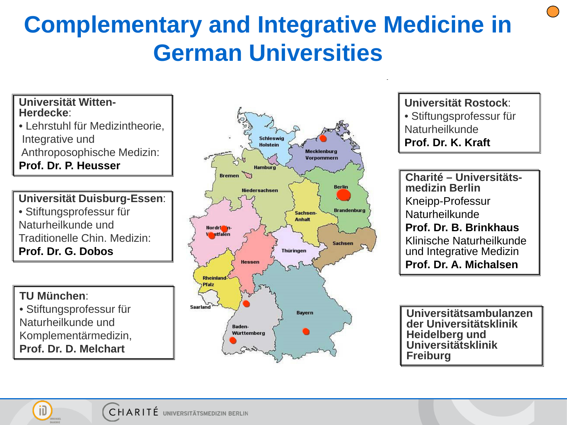## **Complementary and Integrative Medicine in German Universities**

### **Universität Witten- Herdecke**:

- Lehrstuhl für Medizintheorie, Integrative und Anthroposophische Medizin:
- **Prof. Dr. P. Heusser**

#### **Universität Duisburg-Essen**: • Stiftungsprofessur für Naturheilkunde und Traditionelle Chin. Medizin:

**Prof. Dr. G. Dobos**

#### **TU München**:

• Stiftungsprofessur für Naturheilkunde und Komplementärmedizin, **Prof. Dr. D. Melchart**



**Universität Rostock**: • Stiftungsprofessur für Naturheilkunde **Prof. Dr. K. Kraft** 

**Charité – Universitäts- medizin Berlin** Kneipp-Professur Naturheilkunde **Prof. Dr. B. Brinkhaus** Klinische Naturheilkunde und Integrative Medizin **Prof. Dr. A. Michalsen**

**Universitätsambulanzen der Universitätsklinik Heidelberg und Universitätsklinik Freiburg**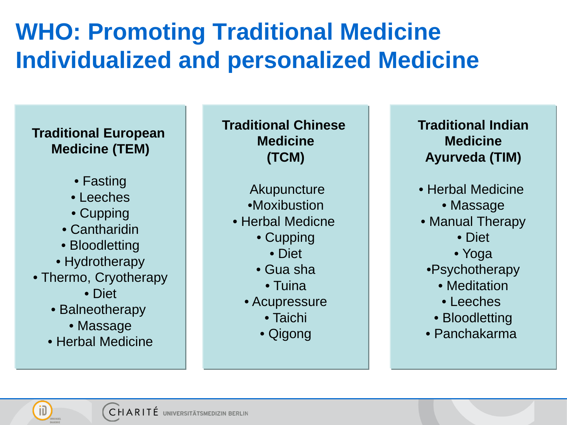## **WHO: Promoting Traditional Medicine Individualized and personalized Medicine**

#### **Traditional European Medicine (TEM)**

- Fasting
- Leeches
- Cupping
- Cantharidin
- Bloodletting
- Hydrotherapy
- Thermo, Cryotherapy
	- Diet
	- Balneotherapy
		- Massage
	- Herbal Medicine

**Traditional Chinese Medicine (TCM)**

- **Akupuncture**
- •Moxibustion
- Herbal Medicne
	- Cupping
		- Diet
	- Gua sha
	- Tuina
	- Acupressure
		- Taichi
		- Qigong

#### **Traditional Indian Medicine Ayurveda (TIM)**

- Herbal Medicine
	- Massage
- Manual Therapy
	- Diet
	- Yoga
	- •Psychotherapy
		- Meditation
		- Leeches
		- Bloodletting
- Panchakarma

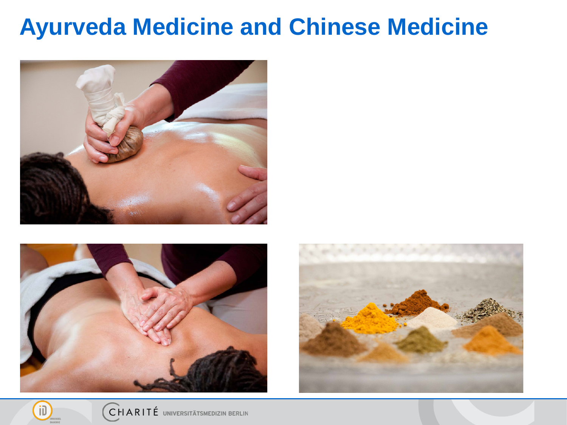### **Ayurveda Medicine and Chinese Medicine**





ïD



CHARITÉ UNIVERSITÄTSMEDIZIN BERLIN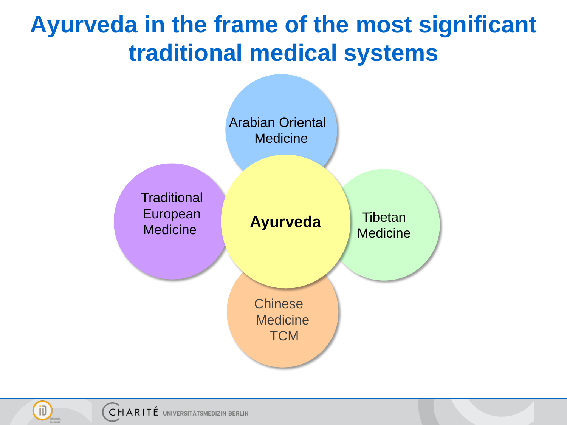### **Ayurveda in the frame of the most significant traditional medical systems**



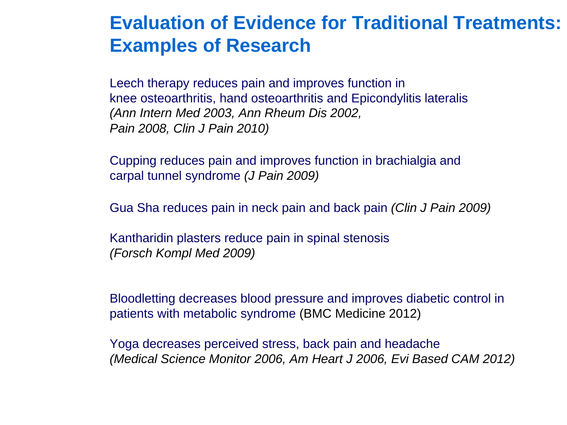### **Evaluation of Evidence for Traditional Treatments: Examples of Research**

Leech therapy reduces pain and improves function in knee osteoarthritis, hand osteoarthritis and Epicondylitis lateralis *(Ann Intern Med 2003, Ann Rheum Dis 2002, Pain 2008, Clin J Pain 2010)*

Cupping reduces pain and improves function in brachialgia and carpal tunnel syndrome *(J Pain 2009)*

Gua Sha reduces pain in neck pain and back pain *(Clin J Pain 2009)* 

Kantharidin plasters reduce pain in spinal stenosis *(Forsch Kompl Med 2009)*

Bloodletting decreases blood pressure and improves diabetic control in patients with metabolic syndrome (BMC Medicine 2012)

Yoga decreases perceived stress, back pain and headache *(Medical Science Monitor 2006, Am Heart J 2006, Evi Based CAM 2012)*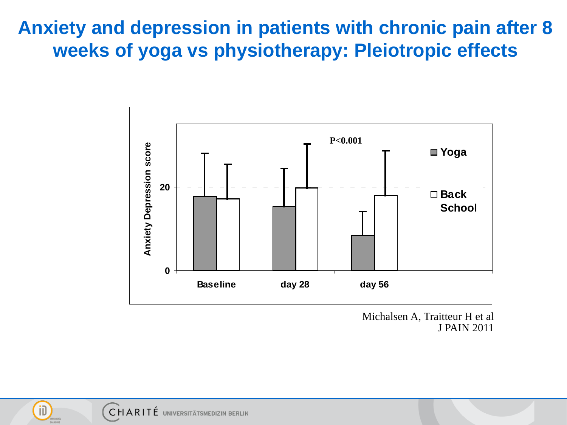### **Anxiety and depression in patients with chronic pain after 8 weeks of yoga vs physiotherapy: Pleiotropic effects**



Michalsen A, Traitteur H et al J PAIN 2011



ÎD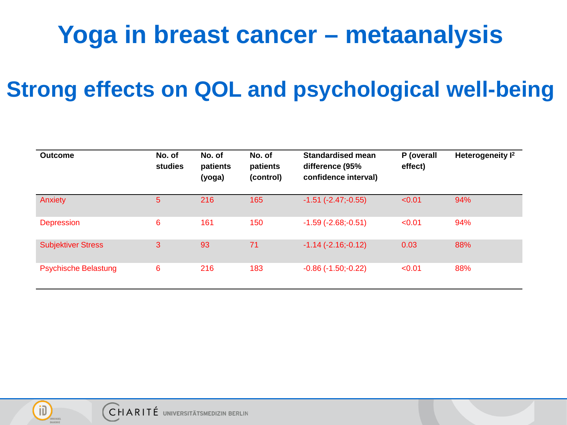# **Yoga in breast cancer – metaanalysis**

### **Strong effects on QOL and psychological well-being**

| <b>Outcome</b>              | No. of<br>studies | No. of<br>patients<br>(yoga) | No. of<br>patients<br>(control) | <b>Standardised mean</b><br>difference (95%<br>confidence interval) | P (overall<br>effect) | Heterogeneity I <sup>2</sup> |
|-----------------------------|-------------------|------------------------------|---------------------------------|---------------------------------------------------------------------|-----------------------|------------------------------|
| Anxiety                     | 5                 | 216                          | 165                             | $-1.51$ $(-2.47,-0.55)$                                             | < 0.01                | 94%                          |
| <b>Depression</b>           | 6                 | 161                          | 150                             | $-1.59$ $(-2.68,-0.51)$                                             | < 0.01                | 94%                          |
| <b>Subjektiver Stress</b>   | 3                 | 93                           | 71                              | $-1.14(-2.16,-0.12)$                                                | 0.03                  | 88%                          |
| <b>Psychische Belastung</b> | 6                 | 216                          | 183                             | $-0.86$ $(-1.50,-0.22)$                                             | < 0.01                | 88%                          |

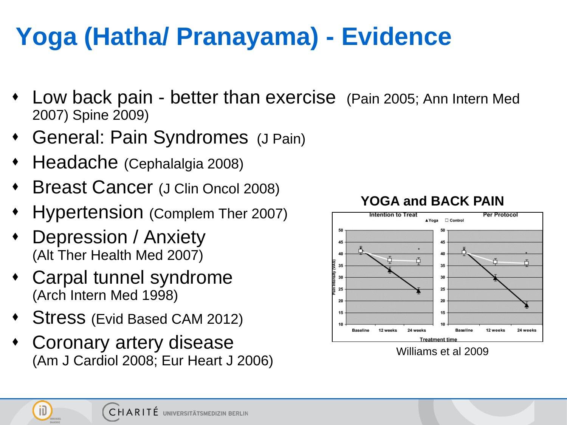# **Yoga (Hatha/ Pranayama) - Evidence**

- Low back pain better than exercise (Pain 2005; Ann Intern Med 2007) Spine 2009)
- General: Pain Syndromes (J Pain)
- Headache (Cephalalgia 2008)
- Breast Cancer (J Clin Oncol 2008)
- Hypertension (Complem Ther 2007)
- Depression / Anxiety (Alt Ther Health Med 2007)

ÎD

- Carpal tunnel syndrome (Arch Intern Med 1998)
- Stress (Evid Based CAM 2012)
- Coronary artery disease (Am J Cardiol 2008; Eur Heart J 2006)



#### **YOGA and BACK PAIN**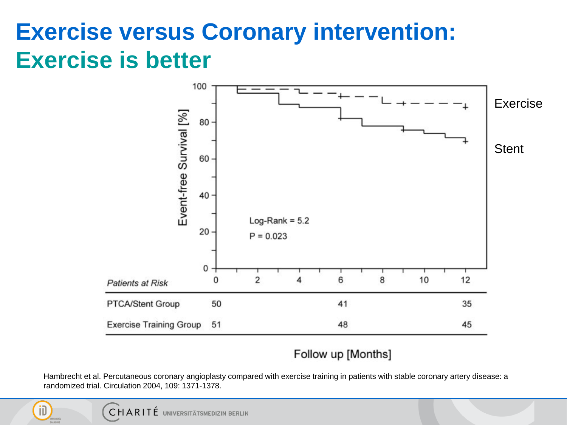### **Exercise versus Coronary intervention: Exercise is better**



#### Follow up [Months]

Hambrecht et al. Percutaneous coronary angioplasty compared with exercise training in patients with stable coronary artery disease: a randomized trial. Circulation 2004, 109: 1371-1378.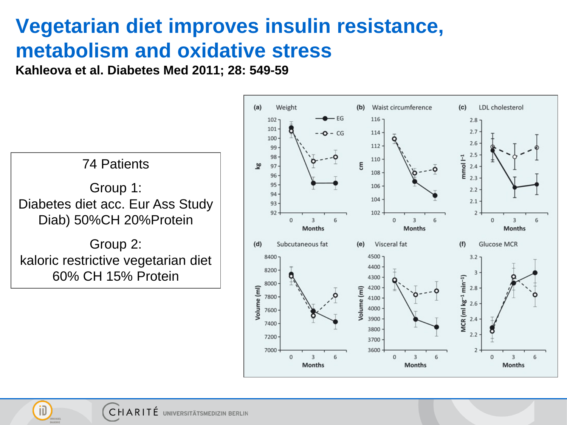### **Vegetarian diet improves insulin resistance, metabolism and oxidative stress**

**Kahleova et al. Diabetes Med 2011; 28: 549-59**



ÎD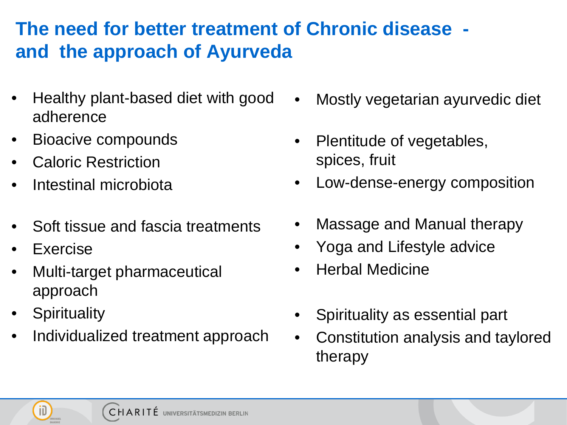### **The need for better treatment of Chronic disease and the approach of Ayurveda**

- Healthy plant-based diet with good adherence
- Bioacive compounds
- Caloric Restriction
- Intestinal microbiota
- Soft tissue and fascia treatments
- **Exercise**
- Multi-target pharmaceutical approach
- **Spirituality**

ÎD

• Individualized treatment approach

- Mostly vegetarian ayurvedic diet
- Plentitude of vegetables, spices, fruit
- Low-dense-energy composition
- Massage and Manual therapy
- Yoga and Lifestyle advice
- Herbal Medicine
- Spirituality as essential part
- Constitution analysis and taylored therapy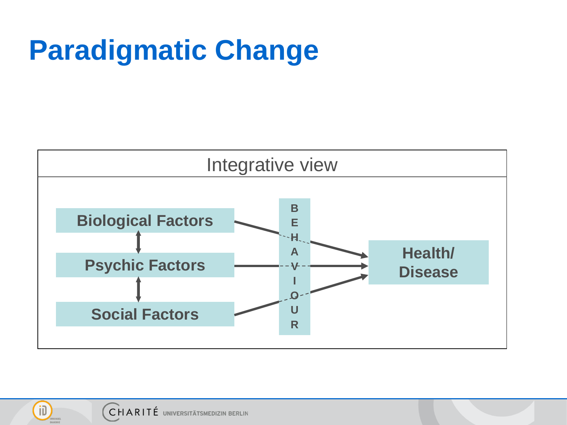# **Paradigmatic Change**





jD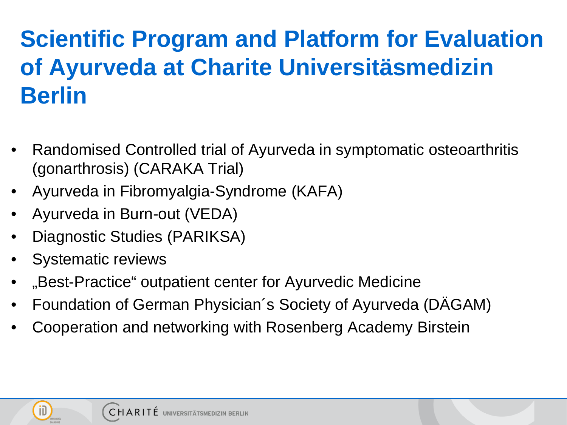# **Scientific Program and Platform for Evaluation of Ayurveda at Charite Universitäsmedizin Berlin**

- Randomised Controlled trial of Ayurveda in symptomatic osteoarthritis (gonarthrosis) (CARAKA Trial)
- Ayurveda in Fibromyalgia-Syndrome (KAFA)
- Ayurveda in Burn-out (VEDA)
- Diagnostic Studies (PARIKSA)
- Systematic reviews
- "Best-Practice" outpatient center for Ayurvedic Medicine
- Foundation of German Physician´s Society of Ayurveda (DÄGAM)
- Cooperation and networking with Rosenberg Academy Birstein

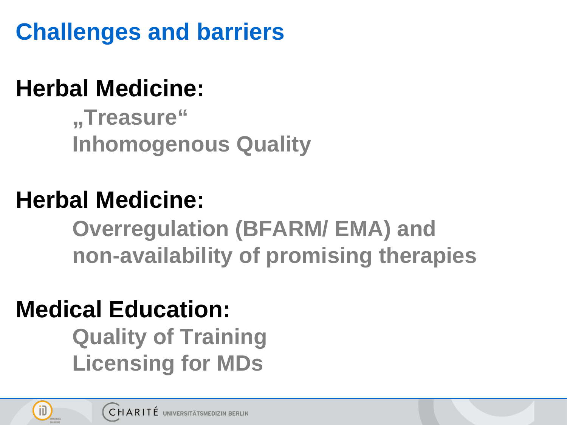**Challenges and barriers** 

# **Herbal Medicine:**

**"Treasure" Inhomogenous Quality**

## **Herbal Medicine:**

**Overregulation (BFARM/ EMA) and non-availability of promising therapies**

# **Medical Education:**

**Quality of Training Licensing for MDs** 

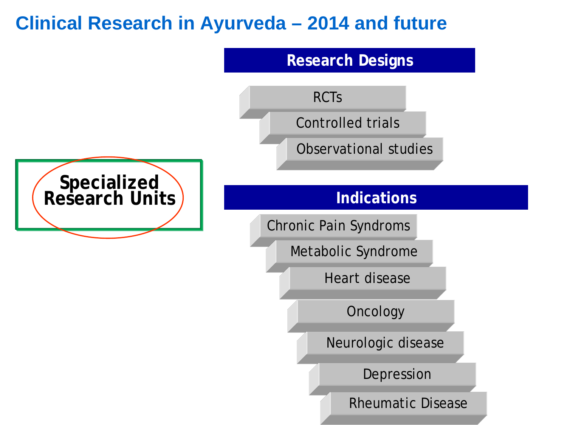### **Clinical Research in Ayurveda – 2014 and future**